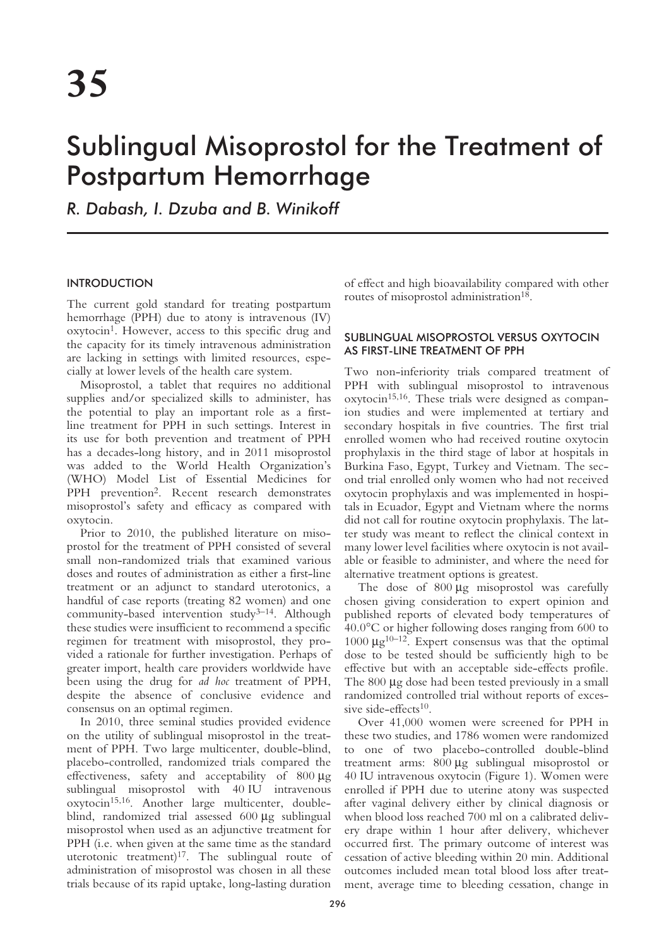# Sublingual Misoprostol for the Treatment of Postpartum Hemorrhage

*R. Dabash, I. Dzuba and B. Winikoff*

# INTRODUCTION

The current gold standard for treating postpartum hemorrhage (PPH) due to atony is intravenous (IV) oxytocin1. However, access to this specific drug and the capacity for its timely intravenous administration are lacking in settings with limited resources, especially at lower levels of the health care system.

Misoprostol, a tablet that requires no additional supplies and/or specialized skills to administer, has the potential to play an important role as a firstline treatment for PPH in such settings. Interest in its use for both prevention and treatment of PPH has a decades-long history, and in 2011 misoprostol was added to the World Health Organization's (WHO) Model List of Essential Medicines for PPH prevention2. Recent research demonstrates misoprostol's safety and efficacy as compared with oxytocin.

Prior to 2010, the published literature on misoprostol for the treatment of PPH consisted of several small non-randomized trials that examined various doses and routes of administration as either a first-line treatment or an adjunct to standard uterotonics, a handful of case reports (treating 82 women) and one community-based intervention study<sup>3-14</sup>. Although these studies were insufficient to recommend a specific regimen for treatment with misoprostol, they provided a rationale for further investigation. Perhaps of greater import, health care providers worldwide have been using the drug for *ad hoc* treatment of PPH, despite the absence of conclusive evidence and consensus on an optimal regimen.

In 2010, three seminal studies provided evidence on the utility of sublingual misoprostol in the treatment of PPH. Two large multicenter, double-blind, placebo-controlled, randomized trials compared the effectiveness, safety and acceptability of 800 µg sublingual misoprostol with 40 IU intravenous oxytocin15,16. Another large multicenter, doubleblind, randomized trial assessed 600 µg sublingual misoprostol when used as an adjunctive treatment for PPH (i.e. when given at the same time as the standard uterotonic treatment)<sup>17</sup>. The sublingual route of administration of misoprostol was chosen in all these trials because of its rapid uptake, long-lasting duration

of effect and high bioavailability compared with other routes of misoprostol administration<sup>18</sup>.

# SUBLINGUAL MISOPROSTOL VERSUS OXYTOCIN AS FIRST-LINE TREATMENT OF PPH

Two non-inferiority trials compared treatment of PPH with sublingual misoprostol to intravenous oxytocin15,16. These trials were designed as companion studies and were implemented at tertiary and secondary hospitals in five countries. The first trial enrolled women who had received routine oxytocin prophylaxis in the third stage of labor at hospitals in Burkina Faso, Egypt, Turkey and Vietnam. The second trial enrolled only women who had not received oxytocin prophylaxis and was implemented in hospitals in Ecuador, Egypt and Vietnam where the norms did not call for routine oxytocin prophylaxis. The latter study was meant to reflect the clinical context in many lower level facilities where oxytocin is not available or feasible to administer, and where the need for alternative treatment options is greatest.

The dose of 800 µg misoprostol was carefully chosen giving consideration to expert opinion and published reports of elevated body temperatures of 40.0°C or higher following doses ranging from 600 to 1000  $\mu$ g<sup>10–12</sup>. Expert consensus was that the optimal dose to be tested should be sufficiently high to be effective but with an acceptable side-effects profile. The 800  $\mu$ g dose had been tested previously in a small randomized controlled trial without reports of excessive side-effects $10$ .

Over 41,000 women were screened for PPH in these two studies, and 1786 women were randomized to one of two placebo-controlled double-blind treatment arms: 800 µg sublingual misoprostol or 40 IU intravenous oxytocin (Figure 1). Women were enrolled if PPH due to uterine atony was suspected after vaginal delivery either by clinical diagnosis or when blood loss reached 700 ml on a calibrated delivery drape within 1 hour after delivery, whichever occurred first. The primary outcome of interest was cessation of active bleeding within 20 min. Additional outcomes included mean total blood loss after treatment, average time to bleeding cessation, change in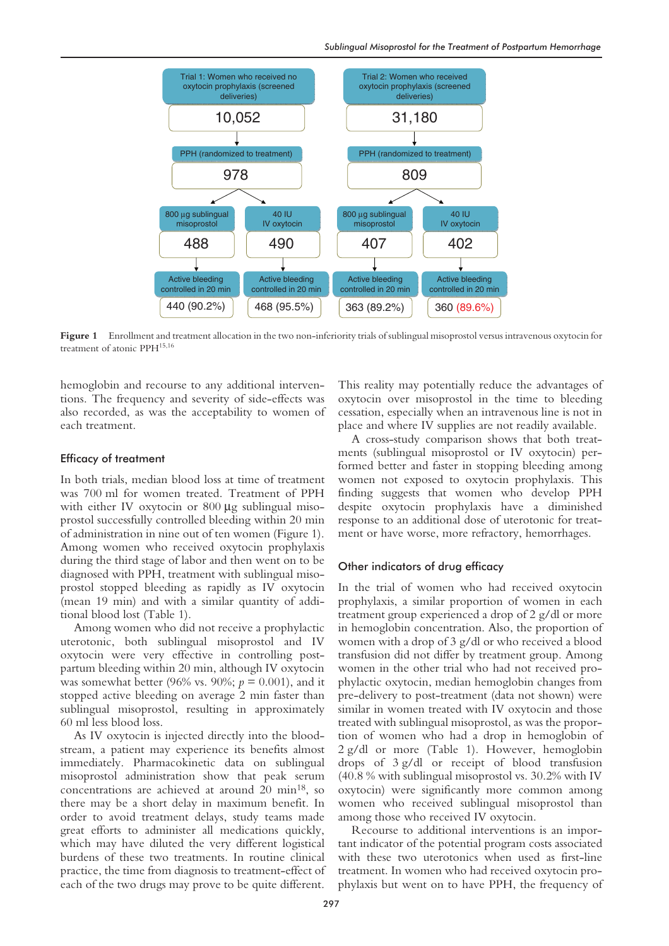

**Figure 1** Enrollment and treatment allocation in the two non-inferiority trials of sublingual misoprostol versus intravenous oxytocin for treatment of atonic PPH<sup>15,16</sup>

hemoglobin and recourse to any additional interventions. The frequency and severity of side-effects was also recorded, as was the acceptability to women of each treatment.

### Efficacy of treatment

In both trials, median blood loss at time of treatment was 700 ml for women treated. Treatment of PPH with either IV oxytocin or 800 µg sublingual misoprostol successfully controlled bleeding within 20 min of administration in nine out of ten women (Figure 1). Among women who received oxytocin prophylaxis during the third stage of labor and then went on to be diagnosed with PPH, treatment with sublingual misoprostol stopped bleeding as rapidly as IV oxytocin (mean 19 min) and with a similar quantity of additional blood lost (Table 1).

Among women who did not receive a prophylactic uterotonic, both sublingual misoprostol and IV oxytocin were very effective in controlling postpartum bleeding within 20 min, although IV oxytocin was somewhat better (96% vs. 90%; *p* = 0.001), and it stopped active bleeding on average 2 min faster than sublingual misoprostol, resulting in approximately 60 ml less blood loss.

As IV oxytocin is injected directly into the bloodstream, a patient may experience its benefits almost immediately. Pharmacokinetic data on sublingual misoprostol administration show that peak serum concentrations are achieved at around 20  $\text{min}^{18}$ , so there may be a short delay in maximum benefit. In order to avoid treatment delays, study teams made great efforts to administer all medications quickly, which may have diluted the very different logistical burdens of these two treatments. In routine clinical practice, the time from diagnosis to treatment-effect of each of the two drugs may prove to be quite different.

This reality may potentially reduce the advantages of oxytocin over misoprostol in the time to bleeding cessation, especially when an intravenous line is not in place and where IV supplies are not readily available.

A cross-study comparison shows that both treatments (sublingual misoprostol or IV oxytocin) performed better and faster in stopping bleeding among women not exposed to oxytocin prophylaxis. This finding suggests that women who develop PPH despite oxytocin prophylaxis have a diminished response to an additional dose of uterotonic for treatment or have worse, more refractory, hemorrhages.

### Other indicators of drug efficacy

In the trial of women who had received oxytocin prophylaxis, a similar proportion of women in each treatment group experienced a drop of 2 g/dl or more in hemoglobin concentration. Also, the proportion of women with a drop of 3 g/dl or who received a blood transfusion did not differ by treatment group. Among women in the other trial who had not received prophylactic oxytocin, median hemoglobin changes from pre-delivery to post-treatment (data not shown) were similar in women treated with IV oxytocin and those treated with sublingual misoprostol, as was the proportion of women who had a drop in hemoglobin of 2 g/dl or more (Table 1). However, hemoglobin drops of 3 g/dl or receipt of blood transfusion (40.8 % with sublingual misoprostol vs. 30.2% with IV oxytocin) were significantly more common among women who received sublingual misoprostol than among those who received IV oxytocin.

Recourse to additional interventions is an important indicator of the potential program costs associated with these two uterotonics when used as first-line treatment. In women who had received oxytocin prophylaxis but went on to have PPH, the frequency of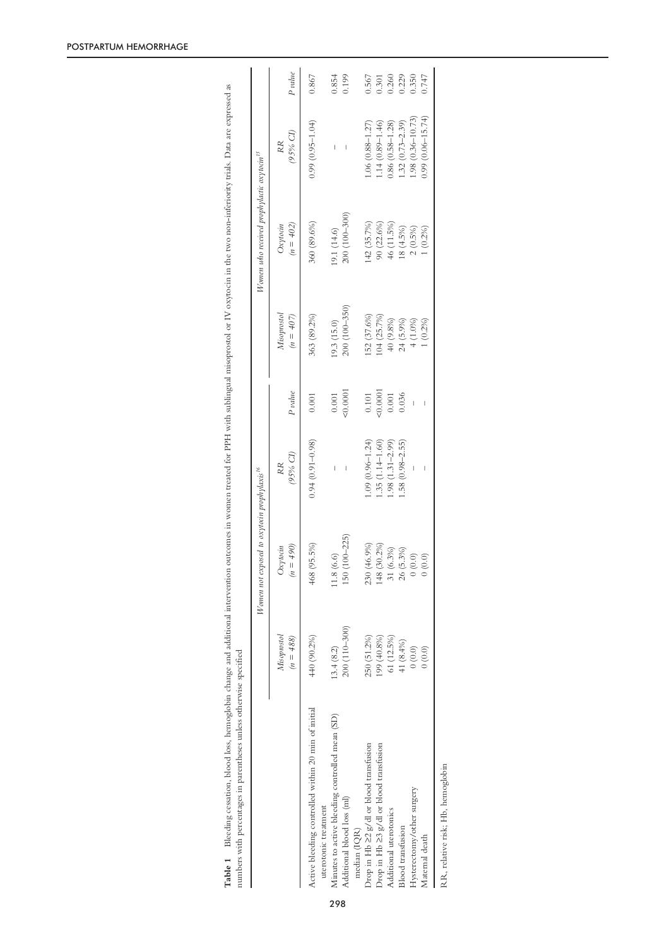|                                                                             |                            | Women not exposed to oxytocin prophylaxis <sup>16</sup> |                                |         |                            | Women who received prophylactic oxytocin <sup>15</sup> |                                |         |
|-----------------------------------------------------------------------------|----------------------------|---------------------------------------------------------|--------------------------------|---------|----------------------------|--------------------------------------------------------|--------------------------------|---------|
|                                                                             | Misoprostol<br>$(n = 488)$ | $(066) =$<br>Oxytocin<br>$\tilde{u}$                    | (95% CI)<br>RR.                | P value | Misoprostol<br>$(n = 407)$ | $(n = 402)$<br>$O$ xytocin                             | (95% CI)<br>RR.                | P value |
| Active bleeding controlled within 20 min of initial<br>uterotonic treatment | 440 (90.2%)                | 468 (95.5%)                                             | $0.94(0.91 - 0.98)$            | 0.001   | 363 (89.2%)                | 360 (89.6%)                                            | $(0.99)(0.95-1.04)$            | 0.867   |
| Minutes to active bleeding controlled mean (SD)                             | 13.4(8.2)                  | (6.6)<br>1.8                                            | $\begin{array}{c} \end{array}$ | 0.001   | (9.3(15.0)                 | 19.1 (14.6)                                            | $\begin{array}{c} \end{array}$ | 0.854   |
| Additional blood loss (ml)<br>median (IQR)                                  | 200 (110-300)              | $(100 - 225)$<br>$\frac{50}{2}$                         |                                | 00001   | 200 (100-350)              | 200 (100-300)                                          |                                | 0.199   |
| Drop in Hb ≥2 g/dl or blood transfusion                                     | 250 (51.2%)                | (46.9%<br>230                                           | $1.09(0.96 - 1.24)$            | $0.101$ | [52 (37.6%)                | 142 (35.7%)                                            | $1.06(0.88 - 1.27)$            | 0.567   |
| Drop in Hb $\geq$ 3 g/dl or blood transfusion                               | 199 (40.8%)                | (30.2%)<br>148                                          | $.35(1.14-1.60)$               | 0.0001  | (04 (25.7%)                | 90 (22.6%)                                             | $1.14(0.89 - 1.46)$            | 0.301   |
| Additional uterotonics                                                      | 61 (12.5%)                 | $(6.3\%)$                                               | $.98(1.31 - 2.99)$             | $0.001$ | 40 (9.8%)                  | 46 (11.5%)                                             | $0.86(0.58 - 1.28)$            | 0.260   |
| <b>Blood</b> transfusion                                                    | 41 (8.4%)                  | $(5.3\%)$<br>26                                         | $.58(0.98 - 2.55)$             | 0.036   | $24(5.9\%)$                | 18 (4.5%)                                              | $1.32(0.73 - 2.39)$            | 0.229   |
| Hysterectomy/other surgery                                                  | (0.0)                      | $(0.0)$                                                 |                                |         | 4(1.0%)                    | 2(0.5%)                                                | 1.98 (0.36-10.73)              | 0.350   |
| Maternal death                                                              | (0.0) 0                    | $(0.0)$                                                 | I                              | I       | $(0.2\%)$                  | $(0.2\%)$                                              | $0.99(0.06 - 15.74)$           | 0.747   |

Table 1 Bleeding cessation, blood loss, hemoglobin change and additional intervention outcomes in women treated for PPH with sublingual misoprostol or IV oxytocin in the two non-inferiority trials. Data are expressed as

Bleeding cessation, blood loss, hemoglobin change and additional intervention outcomes in women treated for PPH with sublingual misoprostol or IV oxytocin in the two non-inferiority trials. Data are expressed as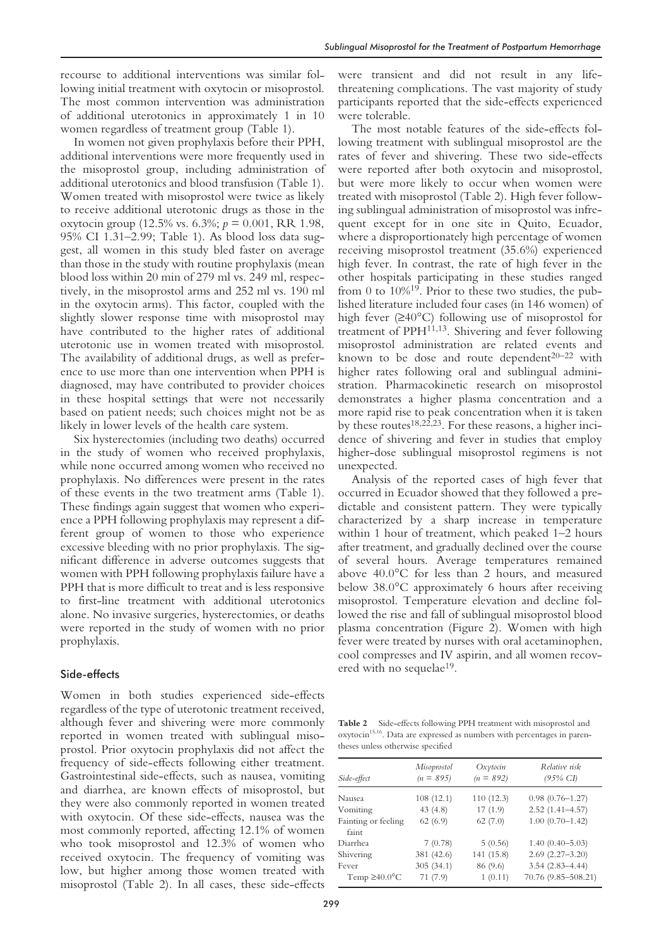recourse to additional interventions was similar following initial treatment with oxytocin or misoprostol. The most common intervention was administration of additional uterotonics in approximately 1 in 10 women regardless of treatment group (Table 1).

In women not given prophylaxis before their PPH, additional interventions were more frequently used in the misoprostol group, including administration of additional uterotonics and blood transfusion (Table 1). Women treated with misoprostol were twice as likely to receive additional uterotonic drugs as those in the oxytocin group (12.5% vs. 6.3%; *p* = 0.001, RR 1.98, 95% CI 1.31–2.99; Table 1). As blood loss data suggest, all women in this study bled faster on average than those in the study with routine prophylaxis (mean blood loss within 20 min of 279 ml vs. 249 ml, respectively, in the misoprostol arms and 252 ml vs. 190 ml in the oxytocin arms). This factor, coupled with the slightly slower response time with misoprostol may have contributed to the higher rates of additional uterotonic use in women treated with misoprostol. The availability of additional drugs, as well as preference to use more than one intervention when PPH is diagnosed, may have contributed to provider choices in these hospital settings that were not necessarily based on patient needs; such choices might not be as likely in lower levels of the health care system.

Six hysterectomies (including two deaths) occurred in the study of women who received prophylaxis, while none occurred among women who received no prophylaxis. No differences were present in the rates of these events in the two treatment arms (Table 1). These findings again suggest that women who experience a PPH following prophylaxis may represent a different group of women to those who experience excessive bleeding with no prior prophylaxis. The significant difference in adverse outcomes suggests that women with PPH following prophylaxis failure have a PPH that is more difficult to treat and is less responsive to first-line treatment with additional uterotonics alone. No invasive surgeries, hysterectomies, or deaths were reported in the study of women with no prior prophylaxis.

## Side-effects

Women in both studies experienced side-effects regardless of the type of uterotonic treatment received, although fever and shivering were more commonly reported in women treated with sublingual misoprostol. Prior oxytocin prophylaxis did not affect the frequency of side-effects following either treatment. Gastrointestinal side-effects, such as nausea, vomiting and diarrhea, are known effects of misoprostol, but they were also commonly reported in women treated with oxytocin. Of these side-effects, nausea was the most commonly reported, affecting 12.1% of women who took misoprostol and 12.3% of women who received oxytocin. The frequency of vomiting was low, but higher among those women treated with misoprostol (Table 2). In all cases, these side-effects

were transient and did not result in any lifethreatening complications. The vast majority of study participants reported that the side-effects experienced were tolerable.

The most notable features of the side-effects following treatment with sublingual misoprostol are the rates of fever and shivering. These two side-effects were reported after both oxytocin and misoprostol, but were more likely to occur when women were treated with misoprostol (Table 2). High fever following sublingual administration of misoprostol was infrequent except for in one site in Quito, Ecuador, where a disproportionately high percentage of women receiving misoprostol treatment (35.6%) experienced high fever. In contrast, the rate of high fever in the other hospitals participating in these studies ranged from 0 to  $10\%^{19}$ . Prior to these two studies, the published literature included four cases (in 146 women) of high fever (≥40°C) following use of misoprostol for treatment of PPH11,13. Shivering and fever following misoprostol administration are related events and known to be dose and route dependent $20-22$  with higher rates following oral and sublingual administration. Pharmacokinetic research on misoprostol demonstrates a higher plasma concentration and a more rapid rise to peak concentration when it is taken by these routes<sup>18,22,23</sup>. For these reasons, a higher incidence of shivering and fever in studies that employ higher-dose sublingual misoprostol regimens is not unexpected.

Analysis of the reported cases of high fever that occurred in Ecuador showed that they followed a predictable and consistent pattern. They were typically characterized by a sharp increase in temperature within 1 hour of treatment, which peaked 1–2 hours after treatment, and gradually declined over the course of several hours. Average temperatures remained above 40.0°C for less than 2 hours, and measured below 38.0°C approximately 6 hours after receiving misoprostol. Temperature elevation and decline followed the rise and fall of sublingual misoprostol blood plasma concentration (Figure 2). Women with high fever were treated by nurses with oral acetaminophen, cool compresses and IV aspirin, and all women recovered with no sequelae<sup>19</sup>.

**Table 2** Side-effects following PPH treatment with misoprostol and oxytocin<sup>15,16</sup>. Data are expressed as numbers with percentages in parentheses unless otherwise specified

| Side-effect                         | Misoprostol<br>$(n = 895)$ | Oxytocin<br>$(n = 892)$ | Relative risk<br>$(95\% \text{ CI})$       |
|-------------------------------------|----------------------------|-------------------------|--------------------------------------------|
| Nausea                              | 108(12.1)                  | 110(12.3)               | $0.98(0.76 - 1.27)$                        |
| Vomiting                            | 43(4.8)                    | 17(1.9)                 | $2.52(1.41 - 4.57)$                        |
| Fainting or feeling<br>faint        | 62(6.9)                    | 62(7.0)                 | $1.00(0.70-1.42)$                          |
| Diarrhea                            | 7(0.78)                    | 5(0.56)                 | $1.40(0.40 - 5.03)$                        |
| Shivering                           | 381 (42.6)                 | 141 (15.8)              | $2.69(2.27 - 3.20)$                        |
| Fever<br>Temp $\geq 40.0^{\circ}$ C | 305(34.1)<br>71(7.9)       | 86 (9.6)<br>1(0.11)     | $3.54(2.83 - 4.44)$<br>70.76 (9.85-508.21) |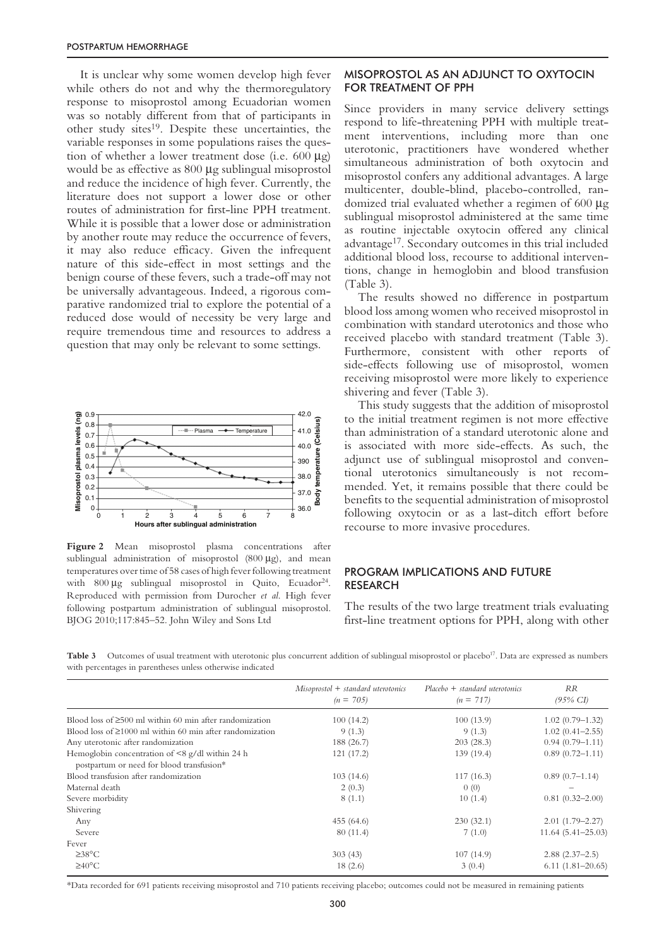It is unclear why some women develop high fever while others do not and why the thermoregulatory response to misoprostol among Ecuadorian women was so notably different from that of participants in other study sites<sup>19</sup>. Despite these uncertainties, the variable responses in some populations raises the question of whether a lower treatment dose (i.e.  $600 \mu$ g) would be as effective as 800  $\mu$ g sublingual misoprostol and reduce the incidence of high fever. Currently, the literature does not support a lower dose or other routes of administration for first-line PPH treatment. While it is possible that a lower dose or administration by another route may reduce the occurrence of fevers, it may also reduce efficacy. Given the infrequent nature of this side-effect in most settings and the benign course of these fevers, such a trade-off may not be universally advantageous. Indeed, a rigorous comparative randomized trial to explore the potential of a reduced dose would of necessity be very large and require tremendous time and resources to address a question that may only be relevant to some settings.



Figure 2 Mean misoprostol plasma concentrations after sublingual administration of misoprostol (800 µg), and mean temperatures over time of 58 cases of high fever following treatment with  $800 \mu$ g sublingual misoprostol in Quito, Ecuador<sup>24</sup>. Reproduced with permission from Durocher *et al*. High fever following postpartum administration of sublingual misoprostol. BJOG 2010;117:845–52. John Wiley and Sons Ltd

## MISOPROSTOL AS AN ADJUNCT TO OXYTOCIN FOR TREATMENT OF PPH

Since providers in many service delivery settings respond to life-threatening PPH with multiple treatment interventions, including more than one uterotonic, practitioners have wondered whether simultaneous administration of both oxytocin and misoprostol confers any additional advantages. A large multicenter, double-blind, placebo-controlled, randomized trial evaluated whether a regimen of 600 µg sublingual misoprostol administered at the same time as routine injectable oxytocin offered any clinical advantage17. Secondary outcomes in this trial included additional blood loss, recourse to additional interventions, change in hemoglobin and blood transfusion (Table 3).

The results showed no difference in postpartum blood loss among women who received misoprostol in combination with standard uterotonics and those who received placebo with standard treatment (Table 3). Furthermore, consistent with other reports of side-effects following use of misoprostol, women receiving misoprostol were more likely to experience shivering and fever (Table 3).

This study suggests that the addition of misoprostol to the initial treatment regimen is not more effective than administration of a standard uterotonic alone and is associated with more side-effects. As such, the adjunct use of sublingual misoprostol and conventional uterotonics simultaneously is not recommended. Yet, it remains possible that there could be benefits to the sequential administration of misoprostol following oxytocin or as a last-ditch effort before recourse to more invasive procedures.

# PROGRAM IMPLICATIONS AND FUTURE RESEARCH

The results of the two large treatment trials evaluating first-line treatment options for PPH, along with other

Table 3 Outcomes of usual treatment with uterotonic plus concurrent addition of sublingual misoprostol or placebo<sup>17</sup>. Data are expressed as numbers with percentages in parentheses unless otherwise indicated

|                                                                                                    | $M isoprostol + standard uterotonics$<br>$(n = 705)$ | $Placebo + standard$ uterotonics<br>$(n = 717)$ | <i>RR</i><br>$(95\% \text{ CI})$ |
|----------------------------------------------------------------------------------------------------|------------------------------------------------------|-------------------------------------------------|----------------------------------|
| Blood loss of $\geq 500$ ml within 60 min after randomization                                      | 100(14.2)                                            | 100(13.9)                                       | $1.02(0.79 - 1.32)$              |
| Blood loss of $\geq 1000$ ml within 60 min after randomization                                     | 9(1.3)                                               | 9(1.3)                                          | $1.02(0.41 - 2.55)$              |
| Any uterotonic after randomization                                                                 | 188 (26.7)                                           | 203(28.3)                                       | $0.94(0.79 - 1.11)$              |
| Hemoglobin concentration of $\leq 8$ g/dl within 24 h<br>postpartum or need for blood transfusion* | 121(17.2)                                            | 139 (19.4)                                      | $0.89(0.72 - 1.11)$              |
| Blood transfusion after randomization                                                              | 103(14.6)                                            | 117(16.3)                                       | $0.89(0.7-1.14)$                 |
| Maternal death                                                                                     | 2(0.3)                                               | 0(0)                                            |                                  |
| Severe morbidity                                                                                   | 8(1.1)                                               | 10(1.4)                                         | $0.81(0.32 - 2.00)$              |
| Shivering                                                                                          |                                                      |                                                 |                                  |
| Any                                                                                                | 455 (64.6)                                           | 230(32.1)                                       | $2.01(1.79 - 2.27)$              |
| Severe                                                                                             | 80(11.4)                                             | 7(1.0)                                          | $11.64(5.41-25.03)$              |
| Fever                                                                                              |                                                      |                                                 |                                  |
| $\geq 38^{\circ}$ C                                                                                | 303(43)                                              | 107(14.9)                                       | $2.88(2.37-2.5)$                 |
| $\geq 40^{\circ}$ C                                                                                | 18(2.6)                                              | 3(0.4)                                          | $6.11(1.81 - 20.65)$             |

\*Data recorded for 691 patients receiving misoprostol and 710 patients receiving placebo; outcomes could not be measured in remaining patients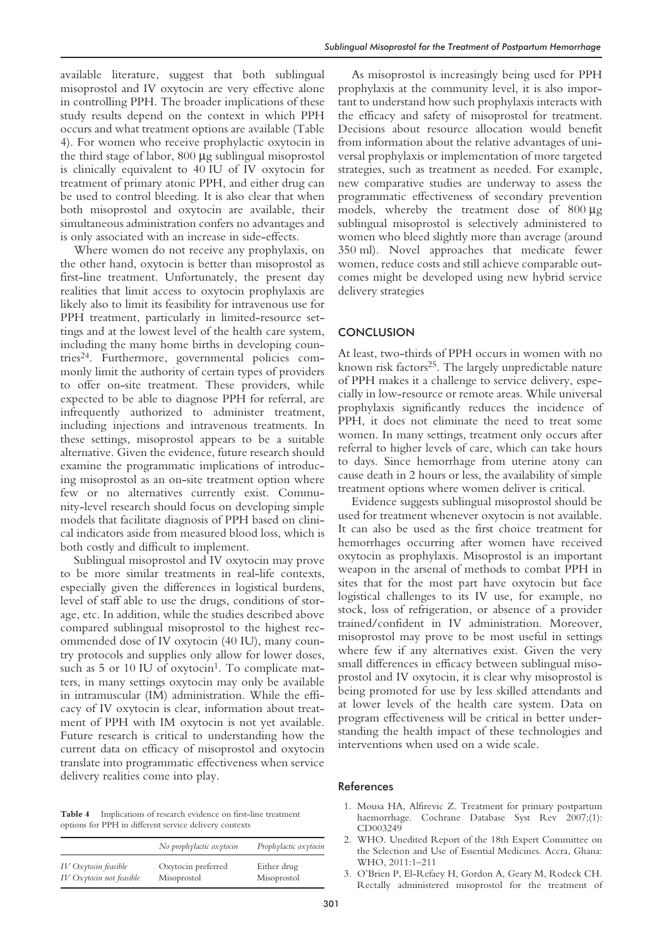available literature, suggest that both sublingual misoprostol and IV oxytocin are very effective alone in controlling PPH. The broader implications of these study results depend on the context in which PPH occurs and what treatment options are available (Table 4). For women who receive prophylactic oxytocin in the third stage of labor, 800 µg sublingual misoprostol is clinically equivalent to 40 IU of IV oxytocin for treatment of primary atonic PPH, and either drug can be used to control bleeding. It is also clear that when both misoprostol and oxytocin are available, their simultaneous administration confers no advantages and is only associated with an increase in side-effects.

Where women do not receive any prophylaxis, on the other hand, oxytocin is better than misoprostol as first-line treatment. Unfortunately, the present day realities that limit access to oxytocin prophylaxis are likely also to limit its feasibility for intravenous use for PPH treatment, particularly in limited-resource settings and at the lowest level of the health care system, including the many home births in developing countries24. Furthermore, governmental policies commonly limit the authority of certain types of providers to offer on-site treatment. These providers, while expected to be able to diagnose PPH for referral, are infrequently authorized to administer treatment, including injections and intravenous treatments. In these settings, misoprostol appears to be a suitable alternative. Given the evidence, future research should examine the programmatic implications of introducing misoprostol as an on-site treatment option where few or no alternatives currently exist. Community-level research should focus on developing simple models that facilitate diagnosis of PPH based on clinical indicators aside from measured blood loss, which is both costly and difficult to implement.

Sublingual misoprostol and IV oxytocin may prove to be more similar treatments in real-life contexts, especially given the differences in logistical burdens, level of staff able to use the drugs, conditions of storage, etc. In addition, while the studies described above compared sublingual misoprostol to the highest recommended dose of IV oxytocin (40 IU), many country protocols and supplies only allow for lower doses, such as  $5$  or  $10$  IU of oxytocin<sup>1</sup>. To complicate matters, in many settings oxytocin may only be available in intramuscular (IM) administration. While the efficacy of IV oxytocin is clear, information about treatment of PPH with IM oxytocin is not yet available. Future research is critical to understanding how the current data on efficacy of misoprostol and oxytocin translate into programmatic effectiveness when service delivery realities come into play.

**Table 4** Implications of research evidence on first-line treatment options for PPH in different service delivery contexts

|                          | No prophylactic oxytocin | Prophylactic oxytocin |
|--------------------------|--------------------------|-----------------------|
| IV Oxytocin feasible     | Oxytocin preferred       | Either drug           |
| IV Oxytocin not feasible | Misoprostol              | Misoprostol           |

As misoprostol is increasingly being used for PPH prophylaxis at the community level, it is also important to understand how such prophylaxis interacts with the efficacy and safety of misoprostol for treatment. Decisions about resource allocation would benefit from information about the relative advantages of universal prophylaxis or implementation of more targeted strategies, such as treatment as needed. For example, new comparative studies are underway to assess the programmatic effectiveness of secondary prevention models, whereby the treatment dose of 800 µg sublingual misoprostol is selectively administered to women who bleed slightly more than average (around 350 ml). Novel approaches that medicate fewer women, reduce costs and still achieve comparable outcomes might be developed using new hybrid service delivery strategies

## **CONCLUSION**

At least, two-thirds of PPH occurs in women with no known risk factors<sup>25</sup>. The largely unpredictable nature of PPH makes it a challenge to service delivery, especially in low-resource or remote areas. While universal prophylaxis significantly reduces the incidence of PPH, it does not eliminate the need to treat some women. In many settings, treatment only occurs after referral to higher levels of care, which can take hours to days. Since hemorrhage from uterine atony can cause death in 2 hours or less, the availability of simple treatment options where women deliver is critical.

Evidence suggests sublingual misoprostol should be used for treatment whenever oxytocin is not available. It can also be used as the first choice treatment for hemorrhages occurring after women have received oxytocin as prophylaxis. Misoprostol is an important weapon in the arsenal of methods to combat PPH in sites that for the most part have oxytocin but face logistical challenges to its IV use, for example, no stock, loss of refrigeration, or absence of a provider trained/confident in IV administration. Moreover, misoprostol may prove to be most useful in settings where few if any alternatives exist. Given the very small differences in efficacy between sublingual misoprostol and IV oxytocin, it is clear why misoprostol is being promoted for use by less skilled attendants and at lower levels of the health care system. Data on program effectiveness will be critical in better understanding the health impact of these technologies and interventions when used on a wide scale.

#### References

- 1. Mousa HA, Alfirevic Z. Treatment for primary postpartum haemorrhage. Cochrane Database Syst Rev 2007;(1): CD003249
- 2. WHO. Unedited Report of the 18th Expert Committee on the Selection and Use of Essential Medicines. Accra, Ghana: WHO, 2011:1–211
- 3. O'Brien P, El-Refaey H, Gordon A, Geary M, Rodeck CH. Rectally administered misoprostol for the treatment of